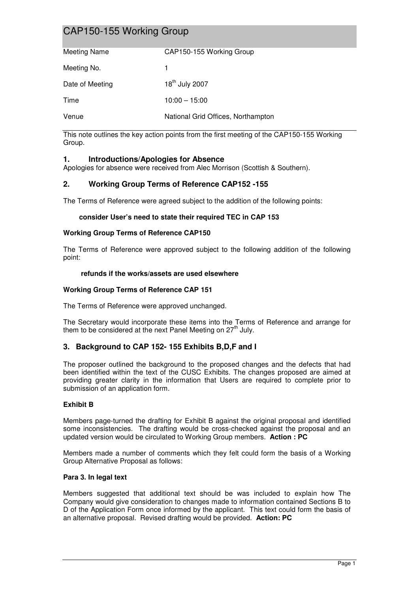# CAP150-155 Working Group

| <b>Meeting Name</b> | CAP150-155 Working Group           |
|---------------------|------------------------------------|
| Meeting No.         | 1.                                 |
| Date of Meeting     | 18 <sup>th</sup> July 2007         |
| Time                | $10:00 - 15:00$                    |
| Venue               | National Grid Offices, Northampton |

This note outlines the key action points from the first meeting of the CAP150-155 Working Group.

## **1. Introductions/Apologies for Absence**

Apologies for absence were received from Alec Morrison (Scottish & Southern).

## **2. Working Group Terms of Reference CAP152 -155**

The Terms of Reference were agreed subject to the addition of the following points:

## **consider User's need to state their required TEC in CAP 153**

### **Working Group Terms of Reference CAP150**

The Terms of Reference were approved subject to the following addition of the following point:

### **refunds if the works/assets are used elsewhere**

### **Working Group Terms of Reference CAP 151**

The Terms of Reference were approved unchanged.

The Secretary would incorporate these items into the Terms of Reference and arrange for them to be considered at the next Panel Meeting on  $27<sup>th</sup>$  July.

## **3. Background to CAP 152- 155 Exhibits B,D,F and I**

The proposer outlined the background to the proposed changes and the defects that had been identified within the text of the CUSC Exhibits. The changes proposed are aimed at providing greater clarity in the information that Users are required to complete prior to submission of an application form.

## **Exhibit B**

Members page-turned the drafting for Exhibit B against the original proposal and identified some inconsistencies. The drafting would be cross-checked against the proposal and an updated version would be circulated to Working Group members. **Action : PC**

Members made a number of comments which they felt could form the basis of a Working Group Alternative Proposal as follows:

### **Para 3. In legal text**

Members suggested that additional text should be was included to explain how The Company would give consideration to changes made to information contained Sections B to D of the Application Form once informed by the applicant. This text could form the basis of an alternative proposal. Revised drafting would be provided. **Action: PC**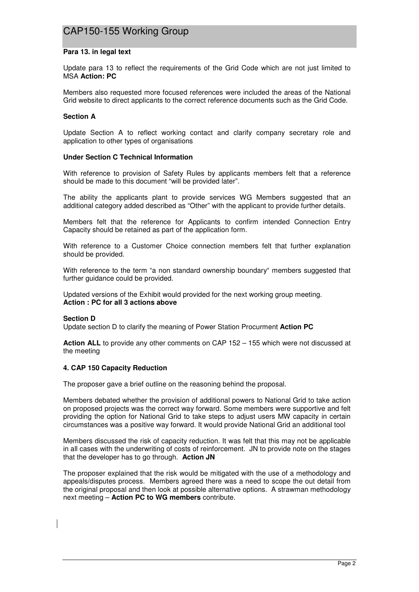# CAP150-155 Working Group

### **Para 13. in legal text**

Update para 13 to reflect the requirements of the Grid Code which are not just limited to MSA **Action: PC** 

Members also requested more focused references were included the areas of the National Grid website to direct applicants to the correct reference documents such as the Grid Code.

### **Section A**

Update Section A to reflect working contact and clarify company secretary role and application to other types of organisations

### **Under Section C Technical Information**

With reference to provision of Safety Rules by applicants members felt that a reference should be made to this document "will be provided later".

The ability the applicants plant to provide services WG Members suggested that an additional category added described as "Other" with the applicant to provide further details.

Members felt that the reference for Applicants to confirm intended Connection Entry Capacity should be retained as part of the application form.

With reference to a Customer Choice connection members felt that further explanation should be provided.

With reference to the term "a non standard ownership boundary" members suggested that further guidance could be provided.

Updated versions of the Exhibit would provided for the next working group meeting. **Action : PC for all 3 actions above** 

### **Section D**

Update section D to clarify the meaning of Power Station Procurment **Action PC** 

**Action ALL** to provide any other comments on CAP 152 – 155 which were not discussed at the meeting

### **4. CAP 150 Capacity Reduction**

The proposer gave a brief outline on the reasoning behind the proposal.

Members debated whether the provision of additional powers to National Grid to take action on proposed projects was the correct way forward. Some members were supportive and felt providing the option for National Grid to take steps to adjust users MW capacity in certain circumstances was a positive way forward. It would provide National Grid an additional tool

Members discussed the risk of capacity reduction. It was felt that this may not be applicable in all cases with the underwriting of costs of reinforcement. JN to provide note on the stages that the developer has to go through. **Action JN**

The proposer explained that the risk would be mitigated with the use of a methodology and appeals/disputes process. Members agreed there was a need to scope the out detail from the original proposal and then look at possible alternative options. A strawman methodology next meeting – **Action PC to WG members** contribute.